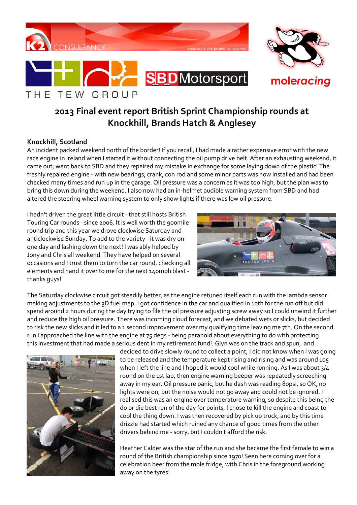





# **2013 Final event report British Sprint Championship rounds at Knockhill, Brands Hatch & Anglesey**

## **Knockhill, Scotland**

An incident packed weekend north of the border! If you recall, I had made a rather expensive error with the new race engine in Ireland when I started it without connecting the oil pump drive belt. After an exhausting weekend, it came out, went back to SBD and they repaired my mistake in exchange for some laying down of the plastic! The freshly repaired engine - with new bearings, crank, con rod and some minor parts was now installed and had been checked many times and run up in the garage. Oil pressure was a concern as it was too high, but the plan was to bring this down during the weekend. I also now had an in-helmet audible warning system from SBD and had altered the steering wheel warning system to only show lights if there was low oil pressure.

I hadn't driven the great little circuit - that still hosts British Touring Car rounds - since 2006. It is well worth the 900mile round trip and this year we drove clockwise Saturday and anticlockwise Sunday. To add to the variety - it was dry on one day and lashing down the next! I was ably helped by Jony and Chris all weekend. They have helped on several occasions and I trust them to turn the car round, checking all elements and hand it over to me for the next 140mph blast thanks guys!



The Saturday clockwise circuit got steadily better, as the engine retuned itself each run with the lambda sensor making adjustments to the 3D fuel map. I got confidence in the car and qualified in 10th for the run off but did spend around 2 hours during the day trying to file the oil pressure adjusting screw away so I could unwind it further and reduce the high oil pressure. There was incoming cloud forecast, and we debated wets or slicks, but decided to risk the new slicks and it led to a 1 second improvement over my qualifying time leaving me 7th. On the second run I approached the line with the engine at 75 degs - being paranoid about everything to do with protecting this investment that had made a serious dent in my retirement fund!. Glyn was on the track and spun, and



decided to drive slowly round to collect a point, I did not know when I was going to be released and the temperature kept rising and rising and was around 105 when I left the line and I hoped it would cool while running. As I was about 3/4 round on the 1st lap, then engine warning beeper was repeatedly screeching away in my ear. Oil pressure panic, but he dash was reading 80psi, so OK, no lights were on, but the noise would not go away and could not be ignored. I realised this was an engine over temperature warning, so despite this being the do or die best run of the day for points, I chose to kill the engine and coast to cool the thing down. I was then recovered by pick up truck, and by this time drizzle had started which ruined any chance of good times from the other drivers behind me - sorry, but I couldn't afford the risk.

Heather Calder was the star of the run and she became the first female to win a round of the British championship since 1970! Seen here coming over for a celebration beer from the mole fridge, with Chris in the foreground working away on the tyres!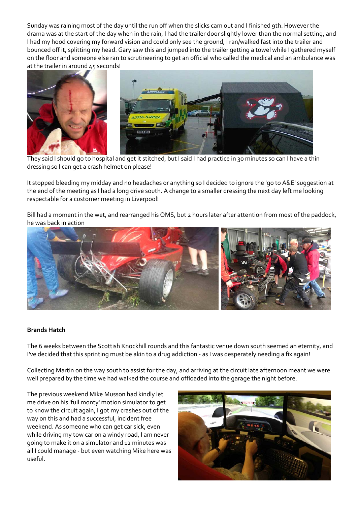Sunday was raining most of the day until the run off when the slicks cam out and I finished 9th. However the drama was at the start of the day when in the rain, I had the trailer door slightly lower than the normal setting, and I had my hood covering my forward vision and could only see the ground, I ran/walked fast into the trailer and bounced off it, splitting my head. Gary saw this and jumped into the trailer getting a towel while I gathered myself on the floor and someone else ran to scrutineering to get an official who called the medical and an ambulance was at the trailer in around 45 seconds!



They said I should go to hospital and get it stitched, but I said I had practice in 30 minutes so can I have a thin dressing so I can get a crash helmet on please!

It stopped bleeding my midday and no headaches or anything so I decided to ignore the 'go to A&E' suggestion at the end of the meeting as I had a long drive south. A change to a smaller dressing the next day left me looking respectable for a customer meeting in Liverpool!

Bill had a moment in the wet, and rearranged his OMS, but 2 hours later after attention from most of the paddock, he was back in action



#### **Brands Hatch**

The 6 weeks between the Scottish Knockhill rounds and this fantastic venue down south seemed an eternity, and I've decided that this sprinting must be akin to a drug addiction - as I was desperately needing a fix again!

Collecting Martin on the way south to assist for the day, and arriving at the circuit late afternoon meant we were well prepared by the time we had walked the course and offloaded into the garage the night before.

The previous weekend Mike Musson had kindly let me drive on his 'full monty' motion simulator to get to know the circuit again, I got my crashes out of the way on this and had a successful, incident free weekend. As someone who can get car sick, even while driving my tow car on a windy road, I am never going to make it on a simulator and 12 minutes was all I could manage - but even watching Mike here was useful.

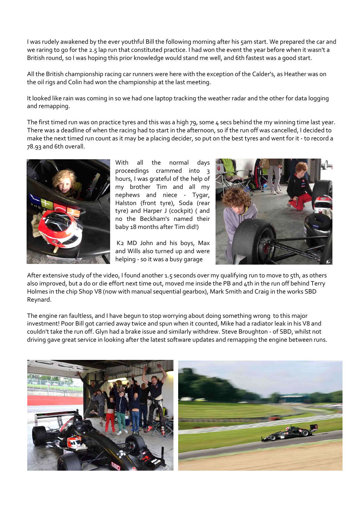I was rudely awakened by the ever youthful Bill the following morning after his 5am start. We prepared the car and we raring to go for the 2.5 lap run that constituted practice. I had won the event the year before when it wasn't a British round, so I was hoping this prior knowledge would stand me well, and 6th fastest was a good start.

All the British championship racing car runners were here with the exception of the Calder's, as Heather was on the oil rigs and Colin had won the championship at the last meeting.

It looked like rain was coming in so we had one laptop tracking the weather radar and the other for data logging and remapping.

The first timed run was on practice tyres and this was a high 79, some  $\mu$  secs behind the my winning time last year. There was a deadline of when the racing had to start in the afternoon, so if the run off was cancelled, I decided to make the next timed run count as it may be a placing decider, so put on the best tyres and went for it - to record a 78.93 and 6th overall.



With all the normal days proceedings crammed into 3 hours, I was grateful of the help of my brother Tim and all my nephews and niece - Tygar, Halston (front tyre), Soda (rear tyre) and Harper J (cockpit) ( and no the Beckham's named their baby 18 months after Tim did!)

 K2 MD John and his boys, Max and Wills also turned up and were helping - so it was a busy garage



After extensive study of the video, I found another 1.5 seconds over my qualifying run to move to 5th, as others also improved, but a do or die effort next time out, moved me inside the PB and 4th in the run off behind Terry Holmes in the chip Shop V8 (now with manual sequential gearbox), Mark Smith and Craig in the works SBD Reynard.

The engine ran faultless, and I have begun to stop worrying about doing something wrong to this major investment! Poor Bill got carried away twice and spun when it counted, Mike had a radiator leak in his V8 and couldn't take the run off. Glyn had a brake issue and similarly withdrew. Steve Broughton - of SBD, whilst not driving gave great service in looking after the latest software updates and remapping the engine between runs.

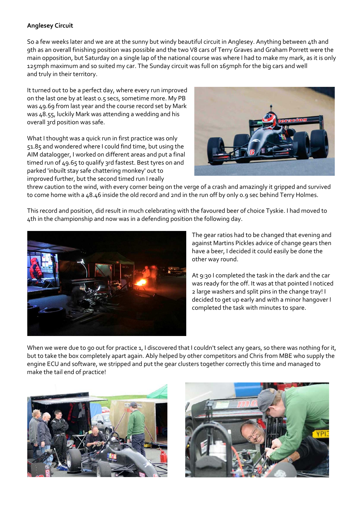## **Anglesey Circuit**

So a few weeks later and we are at the sunny but windy beautiful circuit in Anglesey. Anything between 4th and 9th as an overall finishing position was possible and the two V8 cars of Terry Graves and Graham Porrett were the main opposition, but Saturday on a single lap of the national course was where I had to make my mark, as it is only 125mph maximum and so suited my car. The Sunday circuit was full on 165mph for the big cars and well and truly in their territory.

It turned out to be a perfect day, where every run improved on the last one by at least 0.5 secs, sometime more. My PB was 49.69 from last year and the course record set by Mark was 48.55, luckily Mark was attending a wedding and his overall 3rd position was safe.

What I thought was a quick run in first practice was only 51.85 and wondered where I could find time, but using the AIM datalogger, I worked on different areas and put a final timed run of 49.65 to qualify 3rd fastest. Best tyres on and parked 'inbuilt stay safe chattering monkey' out to improved further, but the second timed run I really



threw caution to the wind, with every corner being on the verge of a crash and amazingly it gripped and survived to come home with a 48.46 inside the old record and 2nd in the run off by only 0.9 sec behind Terry Holmes.

This record and position, did result in much celebrating with the favoured beer of choice Tyskie. I had moved to 4th in the championship and now was in a defending position the following day.



The gear ratios had to be changed that evening and against Martins Pickles advice of change gears then have a beer, I decided it could easily be done the other way round.

At 9:30 I completed the task in the dark and the car was ready for the off. It was at that pointed I noticed 2 large washers and split pins in the change tray! I decided to get up early and with a minor hangover I completed the task with minutes to spare.

When we were due to go out for practice 1, I discovered that I couldn't select any gears, so there was nothing for it, but to take the box completely apart again. Ably helped by other competitors and Chris from MBE who supply the engine ECU and software, we stripped and put the gear clusters together correctly this time and managed to make the tail end of practice!